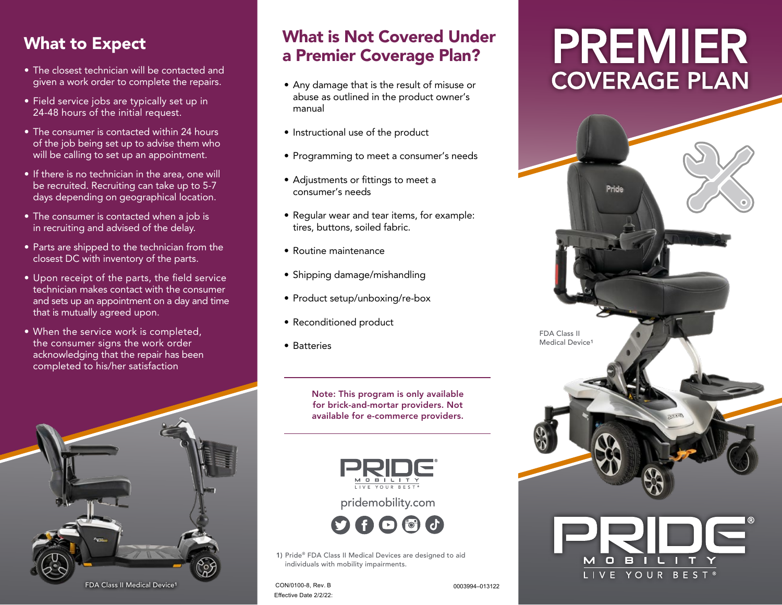- The closest technician will be contacted and given a work order to complete the repairs.
- Field service jobs are typically set up in 24-48 hours of the initial request.
- The consumer is contacted within 24 hours of the job being set up to advise them who will be calling to set up an appointment.
- If there is no technician in the area, one will be recruited. Recruiting can take up to 5-7 days depending on geographical location.
- The consumer is contacted when a job is in recruiting and advised of the delay.
- Parts are shipped to the technician from the closest DC with inventory of the parts.
- Upon receipt of the parts, the field service technician makes contact with the consumer and sets up an appointment on a day and time that is mutually agreed upon.
- When the service work is completed, the consumer signs the work order acknowledging that the repair has been completed to his/her satisfaction



#### What to Expect What is Not Covered Under a Premier Coverage Plan?

- Any damage that is the result of misuse or abuse as outlined in the product owner's manual
- Instructional use of the product
- Programming to meet a consumer's needs
- Adjustments or fittings to meet a consumer's needs
- Regular wear and tear items, for example: tires, buttons, soiled fabric.
- Routine maintenance
- Shipping damage/mishandling
- Product setup/unboxing/re-box
- Reconditioned product
- Batteries

Note: This program is only available for brick-and-mortar providers. Not available for e-commerce providers.



pridemobility.com



1) Pride® FDA Class II Medical Devices are designed to aid individuals with mobility impairments.

CON/0100-8, Rev. B 0003994–013122 Effective Date 2/2/22:

FDA Class II Medical Device<sup>1</sup>

# **PREMIER COVERAGE PLAN**

Pride

OBIL I IVE YOUR BES